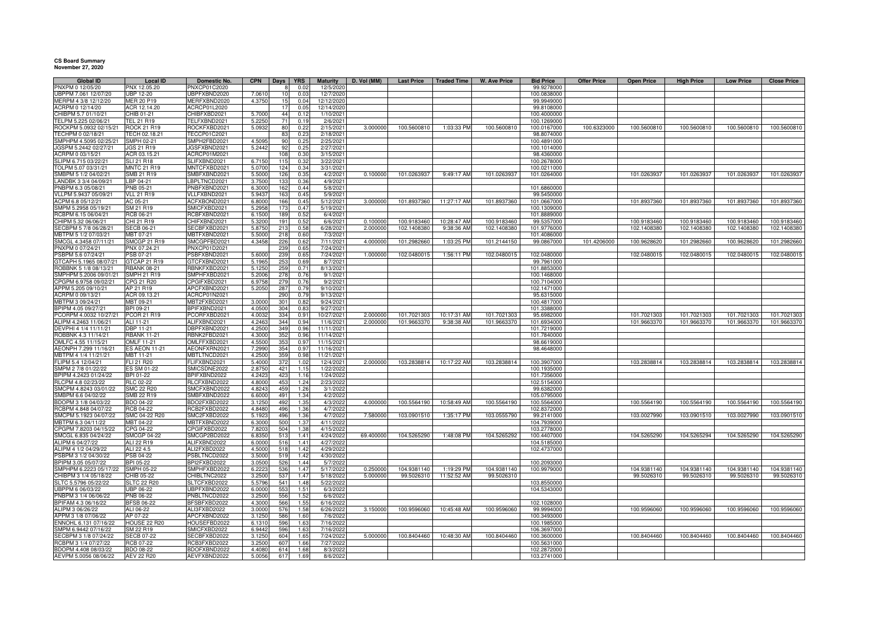## **CS Board Summary November 27, 2020**

| Global ID                                     | <b>Local ID</b>                   | Domestic No.                 | <b>CPN</b>       | <b>Days</b>     | <b>YRS</b>       | <b>Maturity</b>         | D. Vol (MM) | <b>Last Price</b> | <b>Traded Time</b> | W. Ave Price | <b>Bid Price</b>           | <b>Offer Price</b> | <b>Open Price</b> | <b>High Price</b> | <b>Low Price</b> | <b>Close Price</b> |
|-----------------------------------------------|-----------------------------------|------------------------------|------------------|-----------------|------------------|-------------------------|-------------|-------------------|--------------------|--------------|----------------------------|--------------------|-------------------|-------------------|------------------|--------------------|
| PNXPM 0 12/05/20                              | PNX 12.05.20                      | PNXCP01C2020                 |                  |                 | 0.02             | 12/5/2020               |             |                   |                    |              | 99.9278000                 |                    |                   |                   |                  |                    |
| UBPPM 7.061 12/07/20                          | <b>UBP 12-20</b>                  | UBPFXBND2020                 | 7.0610           |                 | 0.03             | 12/7/2020               |             |                   |                    |              | 100.0838000                |                    |                   |                   |                  |                    |
| IERPM 4 3/8 12/12/20                          | <b>MER 20 P19</b>                 | MERFXBND2020                 | 4.3750           |                 | 0.04             | 12/12/2020              |             |                   |                    |              | 99.9949000                 |                    |                   |                   |                  |                    |
| CRPM 0 12/14/20<br>HIBPM 5.7 01/10/21         | ACR 12.14.20<br>CHIB 01-21        | ACRCP01L2020<br>CHIBFXBD2021 | 5.7000           | 44              | 0.05<br>0.12     | 12/14/2020<br>1/10/2021 |             |                   |                    |              | 99.8108000<br>100.4000000  |                    |                   |                   |                  |                    |
| ELPM 5.225 02/06/21                           | TEL 21 R19                        | TELFXBND2021                 | 5.225            |                 | 0.19             | 2/6/2021                |             |                   |                    |              | 100.1269000                |                    |                   |                   |                  |                    |
| OCKPM 5.0932 02/15/21                         | <b>ROCK 21 R19</b>                | ROCKFXBD2021                 | 5.0932           | 80              | 0.22             | 2/15/2021               | 3.000000    | 100.5600810       | 1:03:33 PM         | 100.5600810  | 100.0167000                | 100.6323000        | 100.5600810       | 100.5600810       | 100.5600810      | 100.5600810        |
| TECHPM 0 02/18/21                             | TECH 02.18.21                     | TECCP01C2021                 |                  | R.              | 0.23             | 2/18/2021               |             |                   |                    |              | 98.8074000                 |                    |                   |                   |                  |                    |
| SMPHPM 4.5095 02/25/21                        | SMPH 02-21                        | SMPH2FBD2021                 | 4.5095           | 90              | 0.25             | 2/25/2021               |             |                   |                    |              | 100.4891000                |                    |                   |                   |                  |                    |
| JGSPM 5.2442 02/27/21                         | <b>JGS 21 R19</b>                 | JGSFXBND2021                 | 5.2442           | 92              | 0.25             | 2/27/2021               |             |                   |                    |              | 100.1014000                |                    |                   |                   |                  |                    |
| ACRPM 0 03/15/21                              | ACR 03.15.21                      | ACRCP01M2021                 |                  | 108             | 0.3(             | 3/15/2021               |             |                   |                    |              | 98.4360000                 |                    |                   |                   |                  |                    |
| LIPM 6.715 03/22/21                           | SLI 21 R18                        | SLIFXBND2021                 | 6.715            | 115             | 0.3              | 3/22/202                |             |                   |                    |              | 100.2678000                |                    |                   |                   |                  |                    |
| OLPM 5.07 03/31/21                            | <b>MNTC 21 R19</b>                | MNTCFXBD2021                 | 5.0700           | 124             | 0.3 <sub>1</sub> | 3/31/2021               |             |                   |                    |              | 100.0211000                |                    |                   |                   |                  |                    |
| MBPM 5 1/2 04/02/21                           | SMB 21 R19                        | SMBFXBND2021                 | 5.5000           | 126             | 0.35             | 4/2/2021                | 0.100000    | 101.0263937       | $9:49:17$ AM       | 101.0263937  | 101.0264000                |                    | 101.0263937       | 101.0263937       | 101.0263937      | 101.0263937        |
| LANDBK 3 3/4 04/09/21                         | LBP 04-21                         | LBPLTNCD2021                 | 3.7500           |                 | 0.36             | 4/9/2021                |             |                   |                    |              |                            |                    |                   |                   |                  |                    |
| PNBPM 6.3 05/08/21                            | PNB 05-21                         | PNBFXBND2021                 | 6.3000           | 162             | 0.44             | 5/8/2021                |             |                   |                    |              | 101.6860000                |                    |                   |                   |                  |                    |
| VLLPM 5.9437 05/09/21                         | <b>VLL 21 R19</b>                 | VLLFXBND2021                 | 5.9437           | 163             | 0.45             | 5/9/2021                |             |                   |                    |              | 99.5450000                 |                    |                   |                   |                  |                    |
| ACPM 6.8 05/12/21                             | AC 05-21                          | ACFXBOND2021                 | 6.8000           | 166             | 0.45             | 5/12/2021               | 3.000000    | 101.8937360       | 11:27:17 AM        | 101.8937360  | 101.0667000                |                    | 101.8937360       | 101.8937360       | 101.8937360      | 101.8937360        |
| SMPM 5.2958 05/19/21                          | SM 21 R19                         | SMICFXBD2021                 | 5.2958           | 17              | 0.47             | 5/19/2021               |             |                   |                    |              | 100.1309000                |                    |                   |                   |                  |                    |
| CBPM 6.15 06/04/21                            | RCB 06-21                         | RCBFXBND2021                 | 6.1500           | 189             | 0.52             | 6/4/2021                |             |                   |                    |              | 101.8889000                |                    |                   |                   |                  |                    |
| CHIPM 5.32 06/06/21                           | CHI 21 R19                        | CHIFXBND2021                 | 5.320            | 19 <sup>°</sup> | 0.52<br>0.58     | 6/6/2021                | 0.100000    | 100.9183460       | 10:28:47 AM        | 100.9183460  | 99.5357000                 |                    | 100.9183460       | 100.9183460       | 100.9183460      | 100.9183460        |
| SECBPM 5 7/8 06/28/21<br>MBTPM 5 1/2 07/03/21 | <b>SECB 06-21</b><br>MBT 07-21    | SECBFXBD2021                 | 5.8750<br>5.5000 | 213<br>218      | 0.60             | 6/28/2021<br>7/3/2021   | 2.000000    | 102.1408380       | 9:38:36 AM         | 102.1408380  | 101.9776000<br>101.4086000 |                    | 102.1408380       | 102.1408380       | 102.1408380      | 102.1408380        |
| SMCGL 4.3458 07/11/21                         | <b>SMCGP 21 R19</b>               | MBTFXBND2021<br>SMCGPFBD2021 | 4.3458           |                 |                  | 7/11/2021               | 4.000000    | 101.2982660       | 1:03:25 PM         |              | 99.0867000                 | 101.4206000        | 100.9628620       | 101.2982660       | 100.9628620      | 101.2982660        |
| PNXPM 0 07/24/21                              | PNX 07.24.21                      | PNXCP01D2021                 |                  | 226<br>239      | 0.62<br>0.65     | 7/24/2021               |             |                   |                    | 101.2144150  |                            |                    |                   |                   |                  |                    |
| SBPM 5.6 07/24/21                             | PSB 07-21                         | PSBFXBND2021                 | 5.6000           | 239             | 0.65             | 7/24/2021               | 1.00000     | 102.0480015       | 1:56:11 PM         | 102.0480015  | 102.0480000                |                    | 102.0480015       | 102.0480015       | 102.0480015      | 102.0480015        |
| TCAPH 5.1965 08/07/21                         | GTCAP 21 R19                      | GTCFXBND2021                 | 5.1965           | 253             | 0.69             | 8/7/2021                |             |                   |                    |              | 99.7961000                 |                    |                   |                   |                  |                    |
| ROBBNK 5 1/8 08/13/21                         | <b>RBANK 08-21</b>                | RBNKFXBD2021                 | 5.1250           | 259             | 0.71             | 8/13/2021               |             |                   |                    |              | 101.8853000                |                    |                   |                   |                  |                    |
| SMPHPM 5.2006 09/01/21                        | <b>SMPH 21 R19</b>                | SMPHFXBD2021                 | 5.2006           | 278             | 0.76             | 9/1/2021                |             |                   |                    |              | 100.1468000                |                    |                   |                   |                  |                    |
| PGPM 6.9758 09/02/21                          | CPG 21 R20                        | CPGIFXBD2021                 | 6.9758           | 279             | 0.7(             | 9/2/2021                |             |                   |                    |              | 100.7104000                |                    |                   |                   |                  |                    |
| APPM 5.205 09/10/21                           | AP 21 R19                         | APCFXBND2021                 | 5.2050           | 287             | 0.79             | 9/10/2021               |             |                   |                    |              | 102.1471000                |                    |                   |                   |                  |                    |
| ACRPM 0 09/13/21                              | ACR 09.13.21                      | ACRCP01N2021                 |                  | 290             | 0.79             | 9/13/2021               |             |                   |                    |              | 95.6315000                 |                    |                   |                   |                  |                    |
| MBTPM 3 09/24/21                              | MBT 09-21                         | MBT2FXBD2021                 | 3.000            | 30 <sup>°</sup> | 0.82             | 9/24/2021               |             |                   |                    |              | 100.4817000                |                    |                   |                   |                  |                    |
| BPIPM 4.05 09/27/21                           | BPI 09-21                         | BPIFXBND2021                 | 4.0500           | 304             | 0.83             | 9/27/2021               |             |                   |                    |              | 101.3388000                |                    |                   |                   |                  |                    |
| PCORPM 4.0032 10/27/21 PCOR 21 R19            |                                   | PCORFXBD2021                 | 4.0032           | 334             | 0.91             | 10/27/2021              | 2.000000    | 101.7021303       | 10:17:31 AM        | 101.7021303  | 95.6982000                 |                    | 101.7021303       | 101.7021303       | 101.7021303      | 101.7021303        |
| ALIPM 4.2463 11/06/21                         | ALI 11-21                         | ALIFXBND2021                 | 4.246            | 344             | 0.94             | 11/6/2021               | 2.000000    | 101.9663370       | 9:38:38 AM         | 101.9663370  | 101.6934000                |                    | 101.9663370       | 101.9663370       | 101.9663370      | 101.9663370        |
| DEVPHI 4 1/4 11/11/21                         | DBP 11-21                         | DBPFXBND2021                 | 4.2500           | 349             | 0.96             | 11/11/2021              |             |                   |                    |              | 101.7219000                |                    |                   |                   |                  |                    |
| OBBNK 4.3 11/14/21                            | <b>RBANK 11-21</b>                | RBNK2FBD2021                 | 4.3000           | 352             | 0.96             | 11/14/2021              |             |                   |                    |              | 101.7840000                |                    |                   |                   |                  |                    |
| OMLFC 4.55 11/15/21                           | OMLF 11-21                        | OMLFFXBD2021                 | 4.5500           | 353             | 0.97             | 11/15/2021              |             |                   |                    |              | 98.6619000                 |                    |                   |                   |                  |                    |
| AEONPH 7.299 11/16/21                         | <b>ES AEON 11-21</b>              | AEONFXRN2021                 | 7.2990           | 354             | 0.97             | 11/16/2021              |             |                   |                    |              | 98.4648000                 |                    |                   |                   |                  |                    |
| MBTPM 4 1/4 11/21/21                          | MBT 11-21                         | MBTLTNCD2021                 | 4.2500           | 359             | 0.98             | 11/21/2021              |             |                   |                    |              |                            |                    |                   |                   |                  |                    |
| FLIPM 5.4 12/04/21                            | FLI 21 R20                        | FLIFXBND2021                 | 5.4000           | 372             | 1.02             | 12/4/2021               | 2.000000    | 103.2838814       | 10:17:22 AM        | 103.2838814  | 100.3907000                |                    | 103.2838814       | 103.2838814       | 103.2838814      | 103.2838814        |
| MPM 2 7/8 01/22/22                            | ES SM 01-22                       | SMICSDNE2022                 | 2.875            | 421             | 11!              | 1/22/2022               |             |                   |                    |              | 100.1935000                |                    |                   |                   |                  |                    |
| PIPM 4.2423 01/24/22                          | BPI 01-22                         | BPIFXBND2022                 | 4.2423           | 42:             | 1.16             | 1/24/2022               |             |                   |                    |              | 101.7356000                |                    |                   |                   |                  |                    |
| RLCPM 4.8 02/23/22                            | RLC 02-22                         | RLCFXBND2022                 | 4.8000           | 453             | 1.24             | 2/23/2022               |             |                   |                    |              | 102.5154000                |                    |                   |                   |                  |                    |
| SMCPM 4.8243 03/01/22                         | SMC 22 R20                        | SMCFXBND2022                 | 4.8243           | 459             | 1.26             | 3/1/2022                |             |                   |                    |              | 99.6382000                 |                    |                   |                   |                  |                    |
| MBPM 6.6 04/02/22                             | SMB 22 R19                        | SMBFXBND2022                 | 6.6000           | 491<br>492      | 1.34<br>1.35     | 4/2/2022                | 4.000000    | 100.5564190       | 10:58:49 AM        | 100.5564190  | 105.0795000                |                    | 100.5564190       | 100.5564190       |                  |                    |
| BDOPM 3 1/8 04/03/22                          | BDO 04-22                         | BDO2FXBD2022                 | 3.1250           |                 |                  | 4/3/2022                |             |                   |                    |              | 100.5564000                |                    |                   |                   | 100.5564190      | 100.5564190        |
| RCBPM 4.848 04/07/22<br>SMCPM 5.1923 04/07/22 | <b>RCB 04-22</b><br>SMC 04-22 R20 | RCB2FXBD2022<br>SMC2FXBD2022 | 4.8480<br>5.192  | 496<br>496      | 1.36<br>1.36     | 4/7/2022<br>4/7/2022    | 7.580000    | 103.0901510       | 1:35:17 PM         | 103.0555790  | 102.8372000<br>99.2141000  |                    | 103.0027990       | 103.0901510       | 103.0027990      | 103.0901510        |
| MBTPM 6.3 04/11/22                            | MBT 04-22                         | MBTFXBND2022                 | 6.3000           | 500             | 1.37             | 4/11/2022               |             |                   |                    |              | 104.7939000                |                    |                   |                   |                  |                    |
| CPGPM 7.8203 04/15/22                         | CPG 04-22                         | CPGIFXBD2022                 | 7.8203           | 504             | 1.38             | 4/15/2022               |             |                   |                    |              | 103.2778000                |                    |                   |                   |                  |                    |
| SMCGL 6.835 04/24/22                          | <b>SMCGP 04-22</b>                | SMCGP2BD2022                 | 6.8350           | 513             | 1.41             | 4/24/2022               | 69.400000   | 104.5265290       | 1:48:08 PM         | 104.5265292  | 100.4407000                |                    | 104.5265290       | 104.5265294       | 104.5265290      | 104.5265290        |
| ALIPM 6 04/27/22                              | ALI 22 R19                        | ALIFXBND2022                 | 6.0000           | 516             | 1.41             | 4/27/2022               |             |                   |                    |              | 104.5185000                |                    |                   |                   |                  |                    |
| ALIPM 4 1/2 04/29/22                          | ALI 22 4.5                        | ALI2FXBD2022                 | 4.5000           | 518             | 1.42             | 4/29/2022               |             |                   |                    |              | 102.4737000                |                    |                   |                   |                  |                    |
| SBPM 3 1/2 04/30/22                           | PSB 04-22                         | PSBLTNCD2022                 | 3.5000           | 519             | 1.42             | 4/30/2022               |             |                   |                    |              |                            |                    |                   |                   |                  |                    |
| PIPM 3.05 05/07/22                            | BPI 05-22                         | BPI2FXBD2022                 | 3.0500           | 526             | 1.4              | 5/7/2022                |             |                   |                    |              | 100.2093000                |                    |                   |                   |                  |                    |
| MPHPM 6.2223 05/17/22                         | <b>SMPH 05-22</b>                 | SMPHFXBD2022                 | 6.2223           | 536             | 1.47             | 5/17/2022               | 0.250000    | 104.9381140       | 1:19:29 PM         | 104.9381140  | 100.9979000                |                    | 104.9381140       | 104.9381140       | 104.9381140      | 104.9381140        |
| HIBPM 3 1/4 05/18/22                          | CHIB 05-22                        | CHIBLTNC2022                 | 3.2500           | 537             | 1.4              | 5/18/2022               | 5.000000    | 99.5026310        | 11:52:52 AM        | 99.5026310   |                            |                    | 99.5026310        | 99.5026310        | 99.5026310       | 99.5026310         |
| SLTC 5.5796 05/22/22                          | <b>SLTC 22 R20</b>                | SLTCFXBD2022                 | 5.5796           | 541             | 1.48             | 5/22/2022               |             |                   |                    |              | 103.8550000                |                    |                   |                   |                  |                    |
| UBPPM 6 06/03/22                              | <b>UBP 06-22</b>                  | UBPFXBND2022                 | 6.0000           | 553             | 1.51             | 6/3/2022                |             |                   |                    |              | 104.5343000                |                    |                   |                   |                  |                    |
| NBPM 3 1/4 06/06/22                           | PNB 06-22                         | PNBLTNCD2022                 | 3.250            | 556             | 1.52             | 6/6/2022                |             |                   |                    |              |                            |                    |                   |                   |                  |                    |
| PIFAM 4.3 06/16/22                            | <b>BFSB 06-22</b>                 | BFSBFXBD2022                 | 4.3000           | 566             | 1.55             | 6/16/2022               |             |                   |                    |              | 102.1028000                |                    |                   |                   |                  |                    |
| ALIPM 3 06/26/22                              | ALI 06-22                         | ALI3FXBD2022                 | 3.0000           | 576             | 1.58             | 6/26/2022               | 3.150000    | 100.9596060       | 10:45:48 AM        | 100.9596060  | 99.9994000                 |                    | 100.9596060       | 100.9596060       | 100.9596060      | 100.9596060        |
| APPM 3 1/8 07/06/22                           | AP 07-22                          | APCFXBND2022                 | 3.1250           | 586             | 1.60             | 7/6/2022                |             |                   |                    |              | 100.3493000                |                    |                   |                   |                  |                    |
| ENNOHL 6.131 07/16/22                         | <b>HOUSE 22 R20</b>               | HOUSEFBD2022                 | 6.1310           | 596             | 1.63             | 7/16/2022               |             |                   |                    |              | 100.1985000                |                    |                   |                   |                  |                    |
| SMPM 6.9442 07/16/22                          | SM 22 R19                         | SMICFXBD2022                 | 6.9442           | 596             | 1.63             | 7/16/2022               |             |                   |                    |              | 106.3697000                |                    |                   |                   |                  |                    |
| SECBPM 3 1/8 07/24/22                         | <b>SECB 07-22</b>                 | SECBFXBD2022                 | 3.1250           | 604             | 1.65             | 7/24/2022               | 5.000000    | 100.8404460       | 10:48:30 AM        | 100.8404460  | 100.3600000                |                    | 100.8404460       | 100.8404460       | 100.8404460      | 100.8404460        |
| RCBPM 3 1/4 07/27/22                          | RCB 07-22                         | RCB3FXBD2022                 | 3.250            | 607             | 1.66             | 7/27/2022               |             |                   |                    |              | 100.5631000                |                    |                   |                   |                  |                    |
| BDOPM 4.408 08/03/22                          | <b>BDO 08-22</b>                  | BDOFXBND2022                 | 4.408            | 614             | 1.68             | 8/3/2022                |             |                   |                    |              | 102.2872000                |                    |                   |                   |                  |                    |
| AEVPM 5.0056 08/06/22                         | <b>AEV 22 R20</b>                 | AEVFXBND2022                 | 5.0056           | 617             | 1.69             | 8/6/2022                |             |                   |                    |              | 103.2741000                |                    |                   |                   |                  |                    |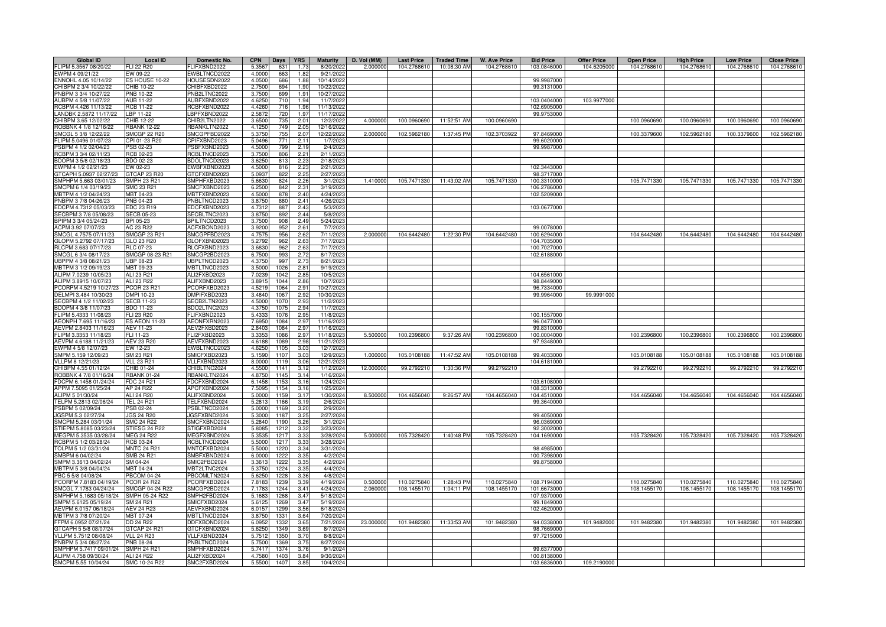| <b>Global ID</b>       | <b>Local ID</b>      | Domestic No.        | <b>CPN</b>     | Days | <b>YRS</b> | <b>Maturity</b> | D. Vol (MM) | <b>Last Price</b> | <b>Traded Time</b>      | <b>W. Ave Price</b> | <b>Bid Price</b> | <b>Offer Price</b> | <b>Open Price</b> | <b>High Price</b> | <b>Low Price</b> | <b>Close Price</b> |
|------------------------|----------------------|---------------------|----------------|------|------------|-----------------|-------------|-------------------|-------------------------|---------------------|------------------|--------------------|-------------------|-------------------|------------------|--------------------|
| FLIPM 5.3567 08/20/22  | FLI 22 R20           | FLIFXBND2022        | 5.3567         | 631  | 1.73       | 8/20/2022       | 2.000000    | 104.2768610       | 10:08:30 AM             | 104.2768610         | 103.0846000      | 104.6205000        | 104.2768610       | 104.2768610       | 104.2768610      | 104.2768610        |
| EWPM 4 09/21/22        | EW 09-22             | EWBLTNCD2022        | 4.0000         | 663  | 1.82       | 9/21/2022       |             |                   |                         |                     |                  |                    |                   |                   |                  |                    |
| ENNOHL 4.05 10/14/22   | ES HOUSE 10-22       | HOUSESDN2022        | 4.0500         | 686  | 1.88       | 10/14/2022      |             |                   |                         |                     | 99.9987000       |                    |                   |                   |                  |                    |
| CHIBPM 2 3/4 10/22/22  | CHIB 10-22           | CHIBFXBD2022        | 2.7500         | 694  | 1.90       | 10/22/2022      |             |                   |                         |                     | 99.3131000       |                    |                   |                   |                  |                    |
| PNBPM 3 3/4 10/27/22   | <b>PNB 10-22</b>     | PNB2LTNC2022        | 3.7500         | 699  | 1.91       | 10/27/202       |             |                   |                         |                     |                  |                    |                   |                   |                  |                    |
| AUBPM 4 5/8 11/07/22   | <b>AUB 11-22</b>     | AUBFXBND2022        | 4.625          | 710  | 1.94       | 11/7/202        |             |                   |                         |                     | 103.0404000      | 103.9977000        |                   |                   |                  |                    |
| RCBPM 4.426 11/13/22   | <b>RCB 11-22</b>     | RCBFXBND2022        | 4.426          | 716  | 1.96       | 11/13/202       |             |                   |                         |                     | 102.6905000      |                    |                   |                   |                  |                    |
| LANDBK 2.5872 11/17/22 | LBP 11-22            | BPFXBND2022         | 2.587          | 720  | 1.97       | 11/17/202       |             |                   |                         |                     | 99.9753000       |                    |                   |                   |                  |                    |
| CHIBPM 3.65 12/02/22   | CHIB 12-22           | CHIB2LTN2022        | 3.6500         | 735  | 2.01       | 12/2/2022       | 4.000000    | 100.0960690       | 11:52:51 AM             | 100.0960690         |                  |                    | 100.0960690       | 100.0960690       | 100.0960690      | 100.0960690        |
| ROBBNK 4 1/8 12/16/22  | <b>RBANK 12-22</b>   | <b>BANKLTN2022</b>  | 4.1250         | 749  | 2.05       | 12/16/202       |             |                   |                         |                     |                  |                    |                   |                   |                  |                    |
| SMCGL 5 3/8 12/22/22   | <b>SMCGP 22 R20</b>  | SMCGPFBD2022        | 5.375          | 755  | 2.07       | 12/22/202       | 2.00000     | 102.5962180       | 1:37:45 PM              | 102.3703922         | 97.8469000       |                    | 100.3379600       | 102.5962180       | 100.3379600      | 102.5962180        |
| FLIPM 5.0496 01/07/23  | CPI 01-23 R20        | CPIFXBND2023        | 5.0496         | 771  | 2.11       | 1/7/202         |             |                   |                         |                     | 99.6020000       |                    |                   |                   |                  |                    |
| PSBPM 4 1/2 02/04/23   | PSB 02-23            | SBFXBND2023         | 4.5000         | 799  | 2.19       | 2/4/202         |             |                   |                         |                     | 99.9987000       |                    |                   |                   |                  |                    |
| RCBPM 3 3/4 02/11/23   | RCB 02-23            | RCBLTNCD2023        | 3.7500         | 806  | 2.21       | 2/11/202        |             |                   |                         |                     |                  |                    |                   |                   |                  |                    |
| BDOPM 3 5/8 02/18/23   | BDO 02-23            | BDOLTNCD2023        | 3.625          | 813  | 2.23       | 2/18/202        |             |                   |                         |                     |                  |                    |                   |                   |                  |                    |
| EWPM 4 1/2 02/21/23    | EW 02-23             | EWBFXBND2023        | 4.500          | 816  | 2.23       | 2/21/202        |             |                   |                         |                     | 102.3443000      |                    |                   |                   |                  |                    |
| GTCAPH 5.0937 02/27/23 | GTCAP 23 R20         | GTCFXBND2023        | 5.093          | 822  | 2.25       | 2/27/202        |             |                   |                         |                     | 98.3717000       |                    |                   |                   |                  |                    |
| SMPHPM 5.663 03/01/23  | SMPH 23 R21          | SMPHFXBD2023        | 5.663          | 824  | 2.26       | 3/1/2023        | 1.410000    |                   | 105.7471330 11:43:02 AM | 105.7471330         | 100.3310000      |                    | 105.7471330       | 105.7471330       | 105.7471330      | 105.7471330        |
| SMCPM 6 1/4 03/19/23   | SMC 23 R21           | SMCFXBND2023        | 6.250          | 842  | 2.31       | 3/19/202        |             |                   |                         |                     | 106.2786000      |                    |                   |                   |                  |                    |
| MBTPM 4 1/2 04/24/23   | MBT 04-23            | MBTFXBND2023        | 4.500          | 878  | 2.40       | 4/24/202        |             |                   |                         |                     | 102.5209000      |                    |                   |                   |                  |                    |
| PNBPM 3 7/8 04/26/23   | PNB 04-23            | PNBLTNCD2023        | 3.875          | 880  | 2.41       | 4/26/2023       |             |                   |                         |                     |                  |                    |                   |                   |                  |                    |
| EDCPM 4.7312 05/03/23  | EDC 23 R19           | EDCFXBND2023        | 4.731          | 887  | 2.43       | 5/3/202         |             |                   |                         |                     | 103.0677000      |                    |                   |                   |                  |                    |
| SECBPM 3 7/8 05/08/23  |                      | SECBLTNC2023        | 3.875          |      | 2.44       |                 |             |                   |                         |                     |                  |                    |                   |                   |                  |                    |
|                        | <b>SECB 05-23</b>    |                     |                | 892  |            | 5/8/202         |             |                   |                         |                     |                  |                    |                   |                   |                  |                    |
| BPIPM 3 3/4 05/24/23   | BPI 05-23            | BPILTNCD2023        | 3.750          | 908  | 2.49       | 5/24/202        |             |                   |                         |                     |                  |                    |                   |                   |                  |                    |
| ACPM 3.92 07/07/23     | AC 23 R22            | ACFXBOND2023        | 3.920          | 952  | 2.61       | 7/7/202         |             |                   |                         |                     | 99.0078000       |                    |                   |                   |                  |                    |
| SMCGL 4.7575 07/11/23  | <b>SMCGP 23 R21</b>  | SMCGPFBD2023        | 4.757          | 956  | 2.62       | 7/11/202        | 2.000000    | 104.6442480       | 1:22:30 PM              | 104.6442480         | 100.6294000      |                    | 104.6442480       | 104.6442480       | 104.6442480      | 104.6442480        |
| GLOPM 5.2792 07/17/23  | GLO 23 R20           | GLOFXBND2023        | 5.279          | 962  | 2.63       | 7/17/202        |             |                   |                         |                     | 104.7035000      |                    |                   |                   |                  |                    |
| RLCPM 3.683 07/17/23   | <b>RLC 07-23</b>     | RLCFXBND2023        | 3.683          | 962  | 2.63       | 7/17/2023       |             |                   |                         |                     | 100.7027000      |                    |                   |                   |                  |                    |
| SMCGL 6 3/4 08/17/23   | SMCGP 08-23 R21      | SMCGP2BD2023        | 6.7500         | 993  | 2.72       | 8/17/2023       |             |                   |                         |                     | 102.6188000      |                    |                   |                   |                  |                    |
| UBPPM 4 3/8 08/21/23   | UBP 08-23            | <b>JBPLTNCD2023</b> | 4.3750         | 997  | 2.73       | 8/21/2023       |             |                   |                         |                     |                  |                    |                   |                   |                  |                    |
| MBTPM 3 1/2 09/19/23   | MBT 09-23            | MBTLTNCD2023        | 3.5000         | 1026 | 2.81       | 9/19/2023       |             |                   |                         |                     |                  |                    |                   |                   |                  |                    |
| ALIPM 7.0239 10/05/23  | ALI 23 R21           | ALI2FXBD2023        | 7.023          | 1042 | 2.85       | 10/5/202        |             |                   |                         |                     | 104.6561000      |                    |                   |                   |                  |                    |
| ALIPM 3.8915 10/07/23  | <b>ALI 23 R22</b>    | ALIFXBND2023        | 3.891          | 1044 | 2.86       | 10/7/202        |             |                   |                         |                     | 98.8449000       |                    |                   |                   |                  |                    |
| CORPM 4.5219 10/27/23  | <b>PCOR 23 R21</b>   | PCORFXBD2023        | 4.521          | 1064 | 2.91       | 10/27/202       |             |                   |                         |                     | 96.7334000       |                    |                   |                   |                  |                    |
| DELMPI 3.484 10/30/23  | DMPI 10-23           | MPIFXBD2023         | 3.484          | 1067 | 2.92       | 10/30/202       |             |                   |                         |                     | 99.9964000       | 99.9991000         |                   |                   |                  |                    |
| SECBPM 4 1/2 11/02/23  | <b>SECB 11-23</b>    | ECB2LTN2023         | 4.500          | 1070 | 2.93       | 11/2/2023       |             |                   |                         |                     |                  |                    |                   |                   |                  |                    |
| BDOPM 4 3/8 11/07/23   | BDO 11-23            | BDO2LTNC2023        | 4.375          | 1075 | 2.94       | 11/7/2023       |             |                   |                         |                     |                  |                    |                   |                   |                  |                    |
| FLIPM 5.4333 11/08/23  | FLI 23 R20           | FLIFXBND2023        | 5.433          | 1076 | 2.95       | 11/8/202        |             |                   |                         |                     | 100.1557000      |                    |                   |                   |                  |                    |
| AEONPH 7.695 11/16/23  | <b>ES AEON 11-23</b> | AEONFXRN2023        | 7.695          | 1084 | 2.97       | 11/16/202       |             |                   |                         |                     | 96.0477000       |                    |                   |                   |                  |                    |
| AEVPM 2.8403 11/16/23  | AEV 11-23            | <b>IEV2FXBD2023</b> | 2.840          | 1084 | 2.97       | 11/16/202       |             |                   |                         |                     | 99.8310000       |                    |                   |                   |                  |                    |
| FLIPM 3.3353 11/18/23  | FLI 11-23            | LI2FXBD2023         | 3.335          | 108  | 2.97       | 11/18/202       | 5.50000     | 100.2396800       | 9:37:26 AM              | 100.2396800         | 100.0004000      |                    | 100.2396800       | 100.2396800       | 100.2396800      | 100.2396800        |
| AEVPM 4.6188 11/21/23  | AEV 23 R20           | AEVFXBND2023        | 4.618          | 108  | 2.98       | 11/21/202       |             |                   |                         |                     | 97.9348000       |                    |                   |                   |                  |                    |
| EWPM 4 5/8 12/07/23    | EW 12-23             | EWBLTNCD2023        | 4.625          | 110  | 3.03       | 12/7/202        |             |                   |                         |                     |                  |                    |                   |                   |                  |                    |
| SMPM 5.159 12/09/23    | SM 23 R21            | SMICFXBD2023        | 5.159          | 110  | 3.03       | 12/9/202        | 1.000000    | 105.0108188       | 11:47:52 AM             | 105.0108188         | 99.4033000       |                    | 105.0108188       | 105.0108188       | 105.0108188      | 105.0108188        |
| VLLPM 8 12/21/23       | <b>VLL 23 R21</b>    | VLLFXBND2023        | 8.000          | 1119 | 3.06       | 12/21/202       |             |                   |                         |                     | 104.6181000      |                    |                   |                   |                  |                    |
| CHIBPM 4.55 01/12/24   | CHIB 01-24           | CHIBLTNC2024        | 4.550          | 114  | 3.12       | 1/12/2024       | 12.000000   | 99.2792210        | 1:30:36 PM              | 99.2792210          |                  |                    | 99.2792210        | 99.2792210        | 99.2792210       | 99.2792210         |
| ROBBNK 4 7/8 01/16/24  | <b>RBANK 01-24</b>   | RBANKLTN2024        | 4.875          | 1145 | 3.14       | 1/16/202        |             |                   |                         |                     |                  |                    |                   |                   |                  |                    |
| FDCPM 6.1458 01/24/24  | <b>FDC 24 R21</b>    | FDCFXBND2024        | 6.145          | 115  | 3.16       | 1/24/2024       |             |                   |                         |                     | 103.6108000      |                    |                   |                   |                  |                    |
| APPM 7.5095 01/25/24   | AP 24 R22            | APCFXBND2024        | 7.509          | 1154 | 3.16       | 1/25/202        |             |                   |                         |                     | 108.3313000      |                    |                   |                   |                  |                    |
| ALIPM 5 01/30/24       | ALI 24 R20           | ALIFXBND2024        | 5.000          | 1159 | 3.17       | 1/30/2024       | 8.50000     | 104.4656040       | 9:26:57 AM              | 104.4656040         | 104.4510000      |                    | 104.4656040       | 104.4656040       | 104.4656040      | 104.4656040        |
| TELPM 5.2813 02/06/24  | <b>TEL 24 R21</b>    | TELFXBND2024        | 5.281          | 1166 | 3.19       | 2/6/202         |             |                   |                         |                     | 99.3640000       |                    |                   |                   |                  |                    |
| PSBPM 5 02/09/24       | PSB 02-24            | PSBLTNCD2024        | 5.000          | 1169 | 3.20       | 2/9/202         |             |                   |                         |                     |                  |                    |                   |                   |                  |                    |
| IGSPM 5.3 02/27/24     | <b>JGS 24 R20</b>    | IGSFXBND2024        | 5.300          | 1187 | 3.25       | 2/27/202        |             |                   |                         |                     | 99.4050000       |                    |                   |                   |                  |                    |
| SMCPM 5.284 03/01/24   | <b>SMC 24 R22</b>    | SMCFXBND2024        | 5.284          | 1190 | 3.26       | 3/1/2024        |             |                   |                         |                     | 96.0369000       |                    |                   |                   |                  |                    |
| STIEPM 5.8085 03/23/24 | STIESG 24 R22        | STIGFXBD2024        | 5.808          | 1212 | 3.32       | 3/23/2024       |             |                   |                         |                     | 92.3002000       |                    |                   |                   |                  |                    |
| MEGPM 5.3535 03/28/24  | MEG 24 R22           | MEGFXBND2024        | 5.353          | 1217 | 3.33       | 3/28/2024       | 5.000000    | 105.7328420       | 1:40:48 PM              | 105.7328420         | 104.1690000      |                    | 105.7328420       | 105.7328420       | 105.7328420      | 105.7328420        |
| RCBPM 5 1/2 03/28/24   | RCB 03-24            | RCBLTNCD2024        | 5.5000         | 1217 | 3.33       | 3/28/2024       |             |                   |                         |                     |                  |                    |                   |                   |                  |                    |
| TOLPM 5 1/2 03/31/24   | <b>MNTC 24 R21</b>   | MNTCFXBD2024        | 5.5000         | 1220 | 3.34       | 3/31/2024       |             |                   |                         |                     | 98.4985000       |                    |                   |                   |                  |                    |
| SMBPM 6 04/02/24       | <b>SMB 24 R21</b>    | SMBFXBND2024        | 6.0000         | 1222 | 3.35       | 4/2/2024        |             |                   |                         |                     | 100.7398000      |                    |                   |                   |                  |                    |
| SMPM 3.3613 04/02/24   | SM 04-24             | SMIC2FBD2024        | 3.361          | 1222 | 3.35       | 4/2/202         |             |                   |                         |                     | 99.8758000       |                    |                   |                   |                  |                    |
| MBTPM 5 3/8 04/04/24   | MBT 04-24            | <b>MBT2LTNC2024</b> |                | 1224 | 3.35       | 4/4/202         |             |                   |                         |                     |                  |                    |                   |                   |                  |                    |
| PBC 5 5/8 04/08/24     | <b>PBCOM 04-24</b>   | PBCOMLTN2024        | 5.375<br>5.625 | 1228 | 3.36       | 4/8/202         |             |                   |                         |                     |                  |                    |                   |                   |                  |                    |
| PCORPM 7.8183 04/19/24 | <b>PCOR 24 R22</b>   | PCORFXBD2024        | 7.818          | 1239 | 3.39       | 4/19/2024       | 0.500000    | 110.0275840       | 1:28:43 PM              | 110.0275840         | 108.7194000      |                    | 110.0275840       | 110.0275840       | 110.0275840      | 110.0275840        |
| SMCGL 7.1783 04/24/24  | SMCGP 04-24 R22      | SMCGP2BD2024        | 7.178          | 1244 | 3.41       | 4/24/2024       | 2.060000    | 108.1455170       | 1:04:11 PM              | 108.1455170         | 101.6673000      |                    | 108.1455170       | 108.1455170       | 108.1455170      | 108.1455170        |
|                        |                      |                     |                |      |            |                 |             |                   |                         |                     |                  |                    |                   |                   |                  |                    |
| SMPHPM 5.1683 05/18/24 | SMPH 05-24 R22       | SMPH2FBD2024        | 5.168          | 1268 | 3.47       | 5/18/202        |             |                   |                         |                     | 107.9370000      |                    |                   |                   |                  |                    |
| SMPM 5.6125 05/19/24   | SM 24 R21            | SMICFXBD2024        | 5.612          | 1269 | 3.47       | 5/19/202        |             |                   |                         |                     | 99.1849000       |                    |                   |                   |                  |                    |
| AEVPM 6.0157 06/18/24  | <b>AEV 24 R23</b>    | AEVFXBND2024        | 6.015          | 1299 | 3.56       | 6/18/202        |             |                   |                         |                     | 102.4620000      |                    |                   |                   |                  |                    |
| MBTPM 3 7/8 07/20/24   | MBT 07-24            | <b>JBTLTNCD2024</b> | 3.875          | 1331 | 3.64       | 7/20/2024       |             |                   |                         |                     |                  |                    |                   |                   |                  |                    |
| FFPM 6.0952 07/21/24   | DD 24 R22            | DDFXBOND2024        | 6.095          | 1332 | 3.65       | 7/21/2024       | 23.000000   | 101.9482380       | 11:33:53 AM             | 101.9482380         | 94.0338000       | 101.9482000        | 101.9482380       | 101.9482380       | 101.9482380      | 101.9482380        |
| STCAPH 5 5/8 08/07/24  | GTCAP 24 R21         | GTCFXBND2024        | 5.625          | 1349 | 3.69       | 8/7/202         |             |                   |                         |                     | 98.7669000       |                    |                   |                   |                  |                    |
| VLLPM 5.7512 08/08/24  | <b>VLL 24 R23</b>    | VLLFXBND2024        | 5.751          | 1350 | 3.70       | 8/8/2024        |             |                   |                         |                     | 97.7215000       |                    |                   |                   |                  |                    |
| PNBPM 5 3/4 08/27/24   | PNB 08-24            | PNBLTNCD2024        | 5.750          | 1369 | 3.75       | 8/27/2024       |             |                   |                         |                     |                  |                    |                   |                   |                  |                    |
| SMPHPM 5.7417 09/01/24 | <b>SMPH 24 R21</b>   | SMPHFXBD2024        | 5.741          | 1374 | 3.76       | 9/1/202         |             |                   |                         |                     | 99.6377000       |                    |                   |                   |                  |                    |
| ALIPM 4.758 09/30/24   | ALI 24 R22           | ALI2FXBD2024        | 4.758          | 1403 | 3.84       | 9/30/2024       |             |                   |                         |                     | 100.8138000      |                    |                   |                   |                  |                    |
| SMCPM 5.55 10/04/24    | SMC 10-24 R22        | SMC2FXBD2024        | 5.5500         | 1407 | 3.85       | 10/4/2024       |             |                   |                         |                     | 103.6836000      | 109.2190000        |                   |                   |                  |                    |